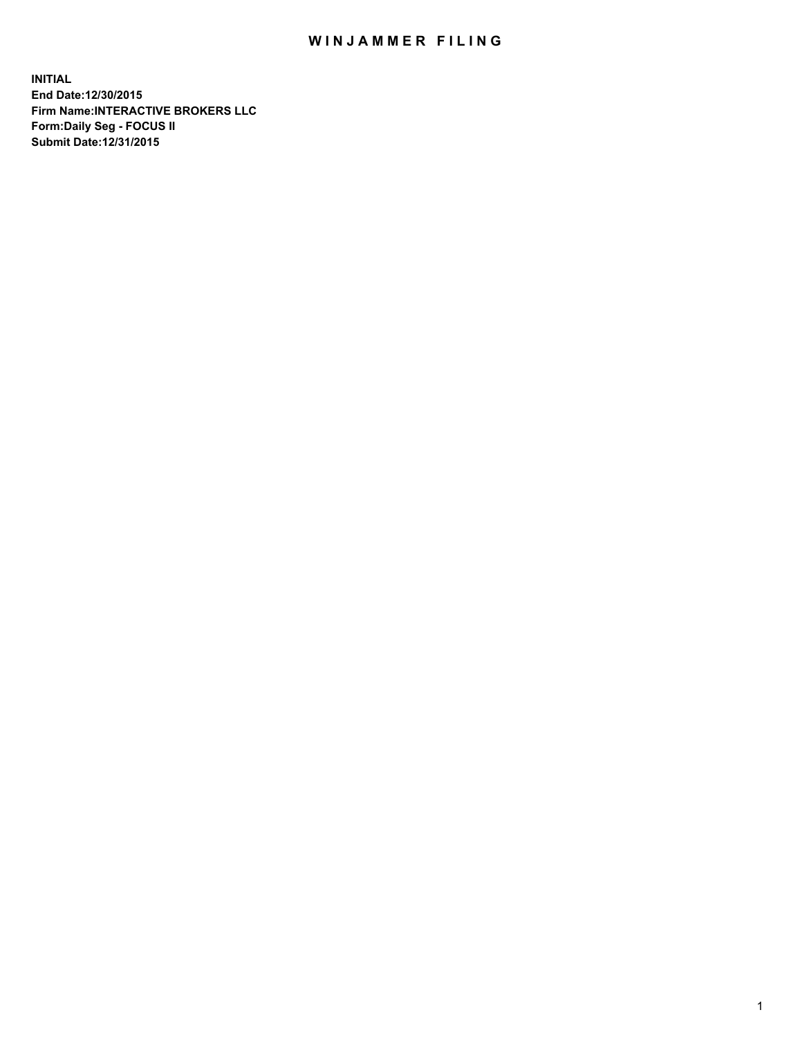## WIN JAMMER FILING

**INITIAL End Date:12/30/2015 Firm Name:INTERACTIVE BROKERS LLC Form:Daily Seg - FOCUS II Submit Date:12/31/2015**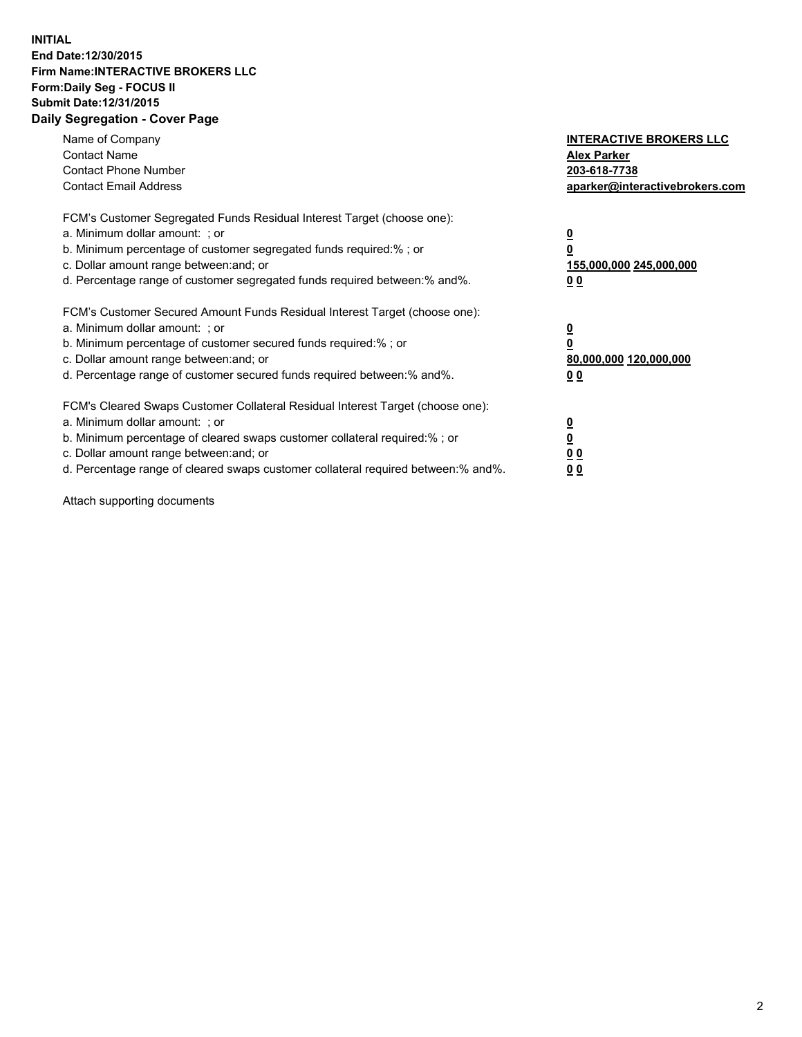## **INITIAL End Date:12/30/2015 Firm Name:INTERACTIVE BROKERS LLC Form:Daily Seg - FOCUS II Submit Date:12/31/2015 Daily Segregation - Cover Page**

| Name of Company<br><b>Contact Name</b><br><b>Contact Phone Number</b><br><b>Contact Email Address</b>                                                                                                                                                                                                                          | <b>INTERACTIVE BROKERS LLC</b><br><b>Alex Parker</b><br>203-618-7738<br>aparker@interactivebrokers.com |
|--------------------------------------------------------------------------------------------------------------------------------------------------------------------------------------------------------------------------------------------------------------------------------------------------------------------------------|--------------------------------------------------------------------------------------------------------|
| FCM's Customer Segregated Funds Residual Interest Target (choose one):<br>a. Minimum dollar amount: ; or<br>b. Minimum percentage of customer segregated funds required:%; or<br>c. Dollar amount range between: and; or<br>d. Percentage range of customer segregated funds required between:% and%.                          | <u>0</u><br>155,000,000 245,000,000<br><u>00</u>                                                       |
| FCM's Customer Secured Amount Funds Residual Interest Target (choose one):<br>a. Minimum dollar amount: ; or<br>b. Minimum percentage of customer secured funds required:% ; or<br>c. Dollar amount range between: and; or<br>d. Percentage range of customer secured funds required between:% and%.                           | <u>0</u><br>80,000,000 120,000,000<br>0 <sub>0</sub>                                                   |
| FCM's Cleared Swaps Customer Collateral Residual Interest Target (choose one):<br>a. Minimum dollar amount: ; or<br>b. Minimum percentage of cleared swaps customer collateral required:% ; or<br>c. Dollar amount range between: and; or<br>d. Percentage range of cleared swaps customer collateral required between:% and%. | $\overline{\mathbf{0}}$<br>0 <sub>0</sub><br>0 <sub>0</sub>                                            |

Attach supporting documents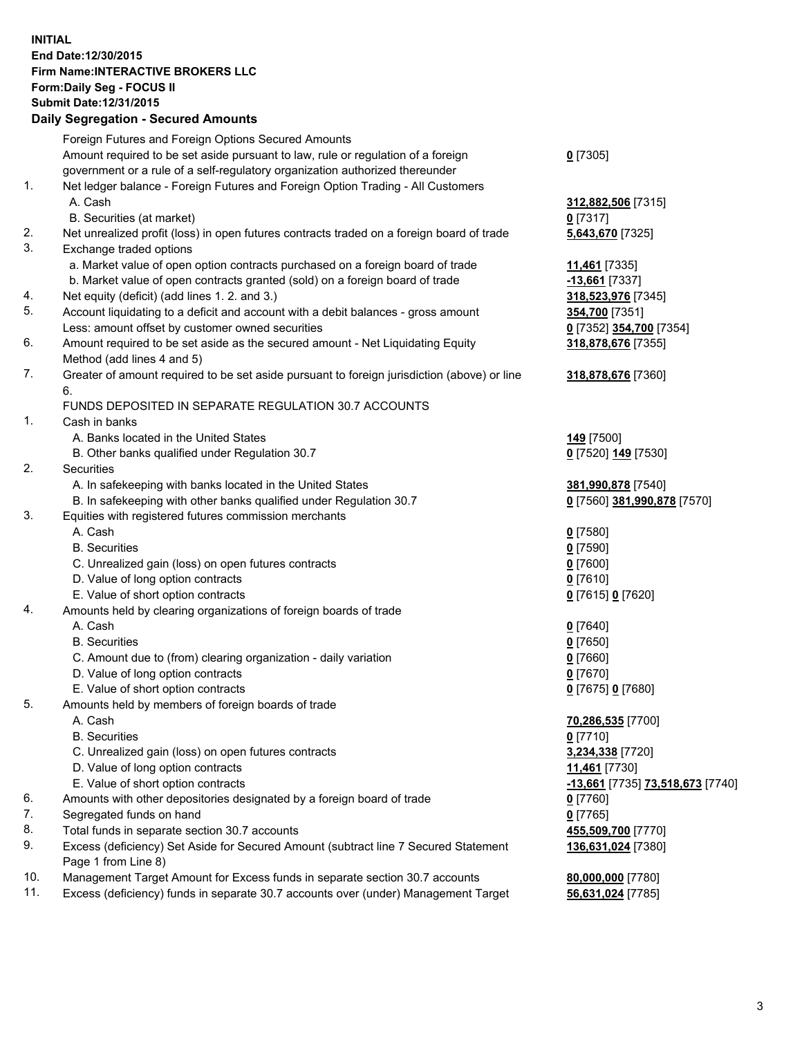## **INITIAL End Date:12/30/2015 Firm Name:INTERACTIVE BROKERS LLC Form:Daily Seg - FOCUS II Submit Date:12/31/2015 Daily Segregation - Secured Amounts**

|     | Daily Jegregation - Jeculed Aniounts                                                                         |                                  |
|-----|--------------------------------------------------------------------------------------------------------------|----------------------------------|
|     | Foreign Futures and Foreign Options Secured Amounts                                                          |                                  |
|     | Amount required to be set aside pursuant to law, rule or regulation of a foreign                             | $0$ [7305]                       |
|     | government or a rule of a self-regulatory organization authorized thereunder                                 |                                  |
| 1.  | Net ledger balance - Foreign Futures and Foreign Option Trading - All Customers                              |                                  |
|     | A. Cash                                                                                                      | 312,882,506 [7315]               |
|     | B. Securities (at market)                                                                                    | $0$ [7317]                       |
| 2.  | Net unrealized profit (loss) in open futures contracts traded on a foreign board of trade                    | 5,643,670 [7325]                 |
| 3.  | Exchange traded options                                                                                      |                                  |
|     | a. Market value of open option contracts purchased on a foreign board of trade                               | 11,461 [7335]                    |
|     | b. Market value of open contracts granted (sold) on a foreign board of trade                                 | $-13,661$ [7337]                 |
| 4.  | Net equity (deficit) (add lines 1.2. and 3.)                                                                 | 318,523,976 [7345]               |
| 5.  | Account liquidating to a deficit and account with a debit balances - gross amount                            | 354,700 [7351]                   |
|     | Less: amount offset by customer owned securities                                                             | 0 [7352] 354,700 [7354]          |
| 6.  |                                                                                                              |                                  |
|     | Amount required to be set aside as the secured amount - Net Liquidating Equity<br>Method (add lines 4 and 5) | 318,878,676 [7355]               |
| 7.  | Greater of amount required to be set aside pursuant to foreign jurisdiction (above) or line                  | 318,878,676 [7360]               |
|     | 6.                                                                                                           |                                  |
|     | FUNDS DEPOSITED IN SEPARATE REGULATION 30.7 ACCOUNTS                                                         |                                  |
| 1.  | Cash in banks                                                                                                |                                  |
|     | A. Banks located in the United States                                                                        | <b>149</b> [7500]                |
|     | B. Other banks qualified under Regulation 30.7                                                               | 0 [7520] 149 [7530]              |
| 2.  | Securities                                                                                                   |                                  |
|     | A. In safekeeping with banks located in the United States                                                    | 381,990,878 [7540]               |
|     | B. In safekeeping with other banks qualified under Regulation 30.7                                           | 0 [7560] 381,990,878 [7570]      |
| 3.  | Equities with registered futures commission merchants                                                        |                                  |
|     | A. Cash                                                                                                      |                                  |
|     | <b>B.</b> Securities                                                                                         | $0$ [7580]                       |
|     |                                                                                                              | $0$ [7590]                       |
|     | C. Unrealized gain (loss) on open futures contracts                                                          | $0$ [7600]                       |
|     | D. Value of long option contracts                                                                            | $0$ [7610]                       |
|     | E. Value of short option contracts                                                                           | 0 [7615] 0 [7620]                |
| 4.  | Amounts held by clearing organizations of foreign boards of trade                                            |                                  |
|     | A. Cash                                                                                                      | $0$ [7640]                       |
|     | <b>B.</b> Securities                                                                                         | $0$ [7650]                       |
|     | C. Amount due to (from) clearing organization - daily variation                                              | $0$ [7660]                       |
|     | D. Value of long option contracts                                                                            | $0$ [7670]                       |
|     | E. Value of short option contracts                                                                           | 0 [7675] 0 [7680]                |
| 5.  | Amounts held by members of foreign boards of trade                                                           |                                  |
|     | A. Cash                                                                                                      | 70,286,535 [7700]                |
|     | <b>B.</b> Securities                                                                                         | $0$ [7710]                       |
|     | C. Unrealized gain (loss) on open futures contracts                                                          | 3,234,338 [7720]                 |
|     | D. Value of long option contracts                                                                            | 11,461 [7730]                    |
|     | E. Value of short option contracts                                                                           | -13,661 [7735] 73,518,673 [7740] |
| 6.  | Amounts with other depositories designated by a foreign board of trade                                       | 0 [7760]                         |
| 7.  | Segregated funds on hand                                                                                     | $0$ [7765]                       |
| 8.  | Total funds in separate section 30.7 accounts                                                                | 455,509,700 [7770]               |
| 9.  | Excess (deficiency) Set Aside for Secured Amount (subtract line 7 Secured Statement                          | 136,631,024 [7380]               |
|     | Page 1 from Line 8)                                                                                          |                                  |
| 10. | Management Target Amount for Excess funds in separate section 30.7 accounts                                  | 80,000,000 [7780]                |
| 11. | Excess (deficiency) funds in separate 30.7 accounts over (under) Management Target                           | 56,631,024 [7785]                |
|     |                                                                                                              |                                  |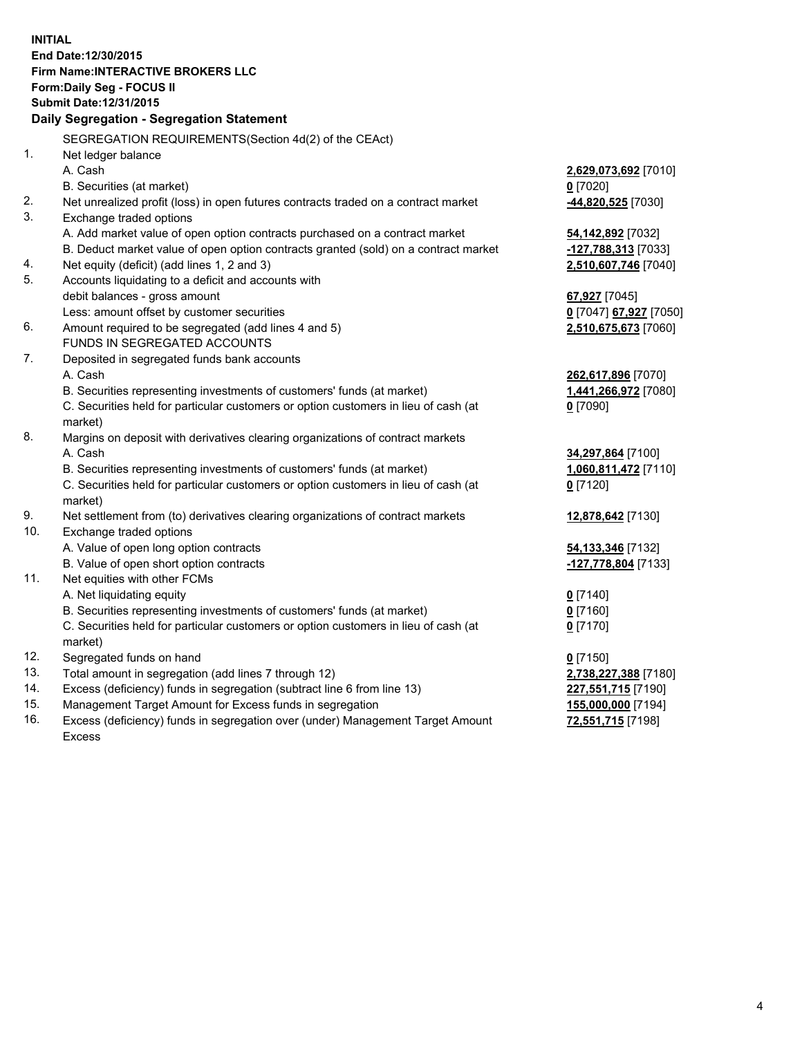**INITIAL End Date:12/30/2015 Firm Name:INTERACTIVE BROKERS LLC Form:Daily Seg - FOCUS II Submit Date:12/31/2015 Daily Segregation - Segregation Statement** SEGREGATION REQUIREMENTS(Section 4d(2) of the CEAct) 1. Net ledger balance A. Cash **2,629,073,692** [7010] B. Securities (at market) **0** [7020] 2. Net unrealized profit (loss) in open futures contracts traded on a contract market **-44,820,525** [7030] 3. Exchange traded options A. Add market value of open option contracts purchased on a contract market **54,142,892** [7032] B. Deduct market value of open option contracts granted (sold) on a contract market **-127,788,313** [7033] 4. Net equity (deficit) (add lines 1, 2 and 3) **2,510,607,746** [7040] 5. Accounts liquidating to a deficit and accounts with debit balances - gross amount **67,927** [7045] Less: amount offset by customer securities **0** [7047] **67,927** [7050] 6. Amount required to be segregated (add lines 4 and 5) **2,510,675,673** [7060] FUNDS IN SEGREGATED ACCOUNTS 7. Deposited in segregated funds bank accounts A. Cash **262,617,896** [7070] B. Securities representing investments of customers' funds (at market) **1,441,266,972** [7080] C. Securities held for particular customers or option customers in lieu of cash (at market) **0** [7090] 8. Margins on deposit with derivatives clearing organizations of contract markets A. Cash **34,297,864** [7100] B. Securities representing investments of customers' funds (at market) **1,060,811,472** [7110] C. Securities held for particular customers or option customers in lieu of cash (at market) **0** [7120] 9. Net settlement from (to) derivatives clearing organizations of contract markets **12,878,642** [7130] 10. Exchange traded options A. Value of open long option contracts **54,133,346** [7132] B. Value of open short option contracts **-127,778,804** [7133] 11. Net equities with other FCMs A. Net liquidating equity **0** [7140] B. Securities representing investments of customers' funds (at market) **0** [7160] C. Securities held for particular customers or option customers in lieu of cash (at market) **0** [7170] 12. Segregated funds on hand **0** [7150] 13. Total amount in segregation (add lines 7 through 12) **2,738,227,388** [7180] 14. Excess (deficiency) funds in segregation (subtract line 6 from line 13) **227,551,715** [7190] 15. Management Target Amount for Excess funds in segregation **155,000,000** [7194]

16. Excess (deficiency) funds in segregation over (under) Management Target Amount Excess

**72,551,715** [7198]